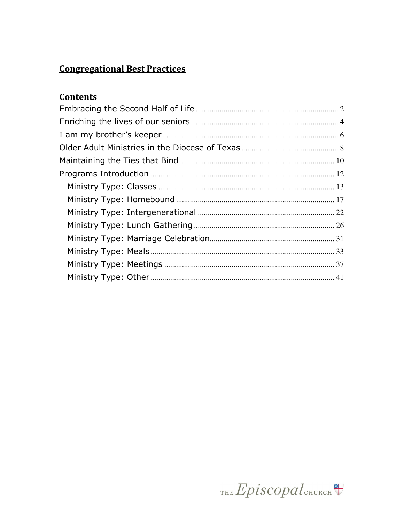# **Congregational Best Practices**

# **Contents**

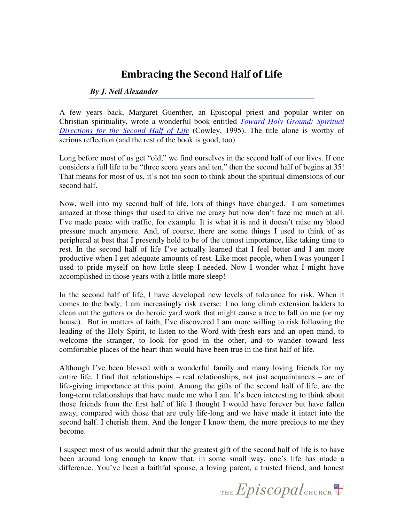## Embracing the Second Half of Life

#### *By J. Neil Alexander*

A few years back, Margaret Guenther, an Episcopal priest and popular writer on Christian spirituality, wrote a wonderful book entitled *Toward Holy Ground: Spiritual Directions for the Second Half of Life* (Cowley, 1995). The title alone is worthy of serious reflection (and the rest of the book is good, too).

Long before most of us get "old," we find ourselves in the second half of our lives. If one considers a full life to be "three score years and ten," then the second half of begins at 35! That means for most of us, it's not too soon to think about the spiritual dimensions of our second half.

Now, well into my second half of life, lots of things have changed. I am sometimes amazed at those things that used to drive me crazy but now don't faze me much at all. I've made peace with traffic, for example. It is what it is and it doesn't raise my blood pressure much anymore. And, of course, there are some things I used to think of as peripheral at best that I presently hold to be of the utmost importance, like taking time to rest. In the second half of life I've actually learned that I feel better and I am more productive when I get adequate amounts of rest. Like most people, when I was younger I used to pride myself on how little sleep I needed. Now I wonder what I might have accomplished in those years with a little more sleep!

In the second half of life, I have developed new levels of tolerance for risk. When it comes to the body, I am increasingly risk averse: I no long climb extension ladders to clean out the gutters or do heroic yard work that might cause a tree to fall on me (or my house). But in matters of faith, I've discovered I am more willing to risk following the leading of the Holy Spirit, to listen to the Word with fresh ears and an open mind, to welcome the stranger, to look for good in the other, and to wander toward less comfortable places of the heart than would have been true in the first half of life.

Although I've been blessed with a wonderful family and many loving friends for my entire life, I find that relationships – real relationships, not just acquaintances – are of life-giving importance at this point. Among the gifts of the second half of life, are the long-term relationships that have made me who I am. It's been interesting to think about those friends from the first half of life I thought I would have forever but have fallen away, compared with those that are truly life-long and we have made it intact into the second half. I cherish them. And the longer I know them, the more precious to me they become.

I suspect most of us would admit that the greatest gift of the second half of life is to have been around long enough to know that, in some small way, one's life has made a difference. You've been a faithful spouse, a loving parent, a trusted friend, and honest

THE Episcopal CHURCH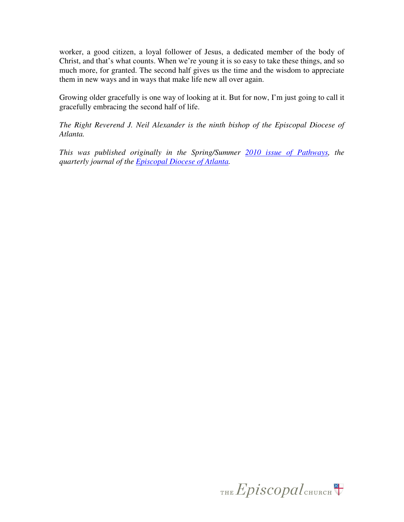worker, a good citizen, a loyal follower of Jesus, a dedicated member of the body of Christ, and that's what counts. When we're young it is so easy to take these things, and so much more, for granted. The second half gives us the time and the wisdom to appreciate them in new ways and in ways that make life new all over again.

Growing older gracefully is one way of looking at it. But for now, I'm just going to call it gracefully embracing the second half of life.

*The Right Reverend J. Neil Alexander is the ninth bishop of the Episcopal Diocese of Atlanta.* 

*This was published originally in the Spring/Summer 2010 issue of Pathways, the quarterly journal of the Episcopal Diocese of Atlanta.* 

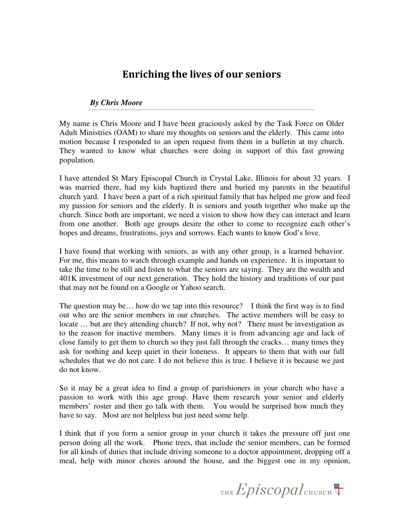## Enriching the lives of our seniors

#### *By Chris Moore*

My name is Chris Moore and I have been graciously asked by the Task Force on Older Adult Ministries (OAM) to share my thoughts on seniors and the elderly. This came into motion because I responded to an open request from them in a bulletin at my church. They wanted to know what churches were doing in support of this fast growing population.

I have attended St Mary Episcopal Church in Crystal Lake, Illinois for about 32 years. I was married there, had my kids baptized there and buried my parents in the beautiful church yard. I have been a part of a rich spiritual family that has helped me grow and feed my passion for seniors and the elderly. It is seniors and youth together who make up the church. Since both are important, we need a vision to show how they can interact and learn from one another. Both age groups desire the other to come to recognize each other's hopes and dreams, frustrations, joys and sorrows. Each wants to know God's love.

I have found that working with seniors, as with any other group, is a learned behavior. For me, this means to watch through example and hands on experience. It is important to take the time to be still and listen to what the seniors are saying. They are the wealth and 401K investment of our next generation. They hold the history and traditions of our past that may not be found on a Google or Yahoo search.

The question may be… how do we tap into this resource? I think the first way is to find out who are the senior members in our churches. The active members will be easy to locate ... but are they attending church? If not, why not? There must be investigation as to the reason for inactive members. Many times it is from advancing age and lack of close family to get them to church so they just fall through the cracks… many times they ask for nothing and keep quiet in their loneness. It appears to them that with our full schedules that we do not care. I do not believe this is true. I believe it is because we just do not know.

So it may be a great idea to find a group of parishioners in your church who have a passion to work with this age group. Have them research your senior and elderly members' roster and then go talk with them. You would be surprised how much they have to say. Most are not helpless but just need some help.

I think that if you form a senior group in your church it takes the pressure off just one person doing all the work. Phone trees, that include the senior members, can be formed for all kinds of duties that include driving someone to a doctor appointment, dropping off a meal, help with minor chores around the house, and the biggest one in my opinion,

THE  $Epis copal$ <sub>CHURCH</sub>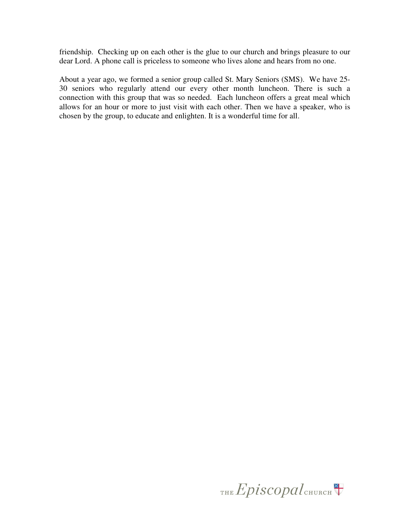friendship. Checking up on each other is the glue to our church and brings pleasure to our dear Lord. A phone call is priceless to someone who lives alone and hears from no one.

About a year ago, we formed a senior group called St. Mary Seniors (SMS). We have 25- 30 seniors who regularly attend our every other month luncheon. There is such a connection with this group that was so needed. Each luncheon offers a great meal which allows for an hour or more to just visit with each other. Then we have a speaker, who is chosen by the group, to educate and enlighten. It is a wonderful time for all.

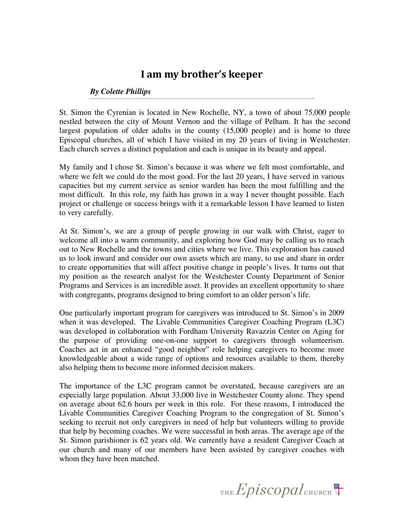### I am my brother's keeper

#### *By Colette Phillips*

St. Simon the Cyrenian is located in New Rochelle, NY, a town of about 75,000 people nestled between the city of Mount Vernon and the village of Pelham. It has the second largest population of older adults in the county (15,000 people) and is home to three Episcopal churches, all of which I have visited in my 20 years of living in Westchester. Each church serves a distinct population and each is unique in its beauty and appeal.

My family and I chose St. Simon's because it was where we felt most comfortable, and where we felt we could do the most good. For the last 20 years, I have served in various capacities but my current service as senior warden has been the most fulfilling and the most difficult. In this role, my faith has grown in a way I never thought possible. Each project or challenge or success brings with it a remarkable lesson I have learned to listen to very carefully.

At St. Simon's, we are a group of people growing in our walk with Christ, eager to welcome all into a warm community, and exploring how God may be calling us to reach out to New Rochelle and the towns and cities where we live. This exploration has caused us to look inward and consider our own assets which are many, to use and share in order to create opportunities that will affect positive change in people's lives. It turns out that my position as the research analyst for the Westchester County Department of Senior Programs and Services is an incredible asset. It provides an excellent opportunity to share with congregants, programs designed to bring comfort to an older person's life.

One particularly important program for caregivers was introduced to St. Simon's in 2009 when it was developed. The Livable Communities Caregiver Coaching Program (L3C) was developed in collaboration with Fordham University Ravazzin Center on Aging for the purpose of providing one-on-one support to caregivers through volunteerism. Coaches act in an enhanced "good neighbor" role helping caregivers to become more knowledgeable about a wide range of options and resources available to them, thereby also helping them to become more informed decision makers.

The importance of the L3C program cannot be overstated, because caregivers are an especially large population. About 33,000 live in Westchester County alone. They spend on average about 62.6 hours per week in this role. For these reasons, I introduced the Livable Communities Caregiver Coaching Program to the congregation of St. Simon's seeking to recruit not only caregivers in need of help but volunteers willing to provide that help by becoming coaches. We were successful in both areas. The average age of the St. Simon parishioner is 62 years old. We currently have a resident Caregiver Coach at our church and many of our members have been assisted by caregiver coaches with whom they have been matched.

THE Episcopal CHURCH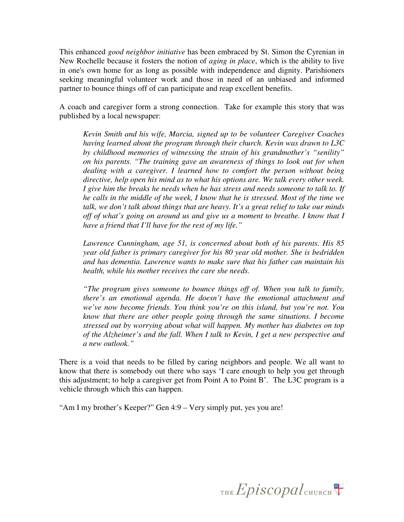This enhanced *good neighbor initiative* has been embraced by St. Simon the Cyrenian in New Rochelle because it fosters the notion of *aging in place*, which is the ability to live in one's own home for as long as possible with independence and dignity. Parishioners seeking meaningful volunteer work and those in need of an unbiased and informed partner to bounce things off of can participate and reap excellent benefits.

A coach and caregiver form a strong connection. Take for example this story that was published by a local newspaper:

*Kevin Smith and his wife, Marcia, signed up to be volunteer Caregiver Coaches having learned about the program through their church. Kevin was drawn to L3C by childhood memories of witnessing the strain of his grandmother's "senility" on his parents. "The training gave an awareness of things to look out for when dealing with a caregiver. I learned how to comfort the person without being directive, help open his mind as to what his options are. We talk every other week. I give him the breaks he needs when he has stress and needs someone to talk to. If he calls in the middle of the week, I know that he is stressed. Most of the time we talk, we don't talk about things that are heavy. It's a great relief to take our minds off of what's going on around us and give us a moment to breathe. I know that I have a friend that I'll have for the rest of my life."* 

*Lawrence Cunningham, age 51, is concerned about both of his parents. His 85 year old father is primary caregiver for his 80 year old mother. She is bedridden and has dementia. Lawrence wants to make sure that his father can maintain his health, while his mother receives the care she needs.* 

*"The program gives someone to bounce things off of. When you talk to family, there's an emotional agenda. He doesn't have the emotional attachment and we've now become friends. You think you're on this island, but you're not. You know that there are other people going through the same situations. I become stressed out by worrying about what will happen. My mother has diabetes on top of the Alzheimer's and the fall. When I talk to Kevin, I get a new perspective and a new outlook."* 

There is a void that needs to be filled by caring neighbors and people. We all want to know that there is somebody out there who says 'I care enough to help you get through this adjustment; to help a caregiver get from Point A to Point B'. The L3C program is a vehicle through which this can happen.

"Am I my brother's Keeper?" Gen 4:9 – Very simply put, yes you are!

THE Episcopal CHURCH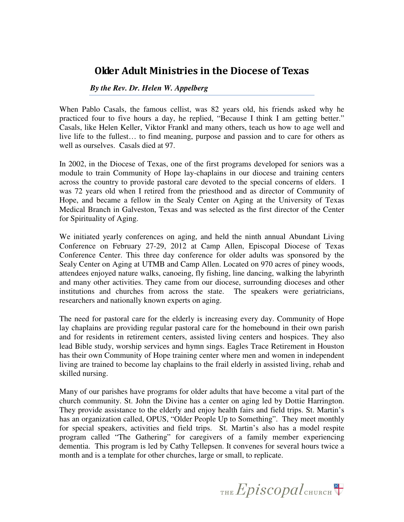### Older Adult Ministries in the Diocese of Texas

#### *By the Rev. Dr. Helen W. Appelberg*

When Pablo Casals, the famous cellist, was 82 years old, his friends asked why he practiced four to five hours a day, he replied, "Because I think I am getting better." Casals, like Helen Keller, Viktor Frankl and many others, teach us how to age well and live life to the fullest… to find meaning, purpose and passion and to care for others as well as ourselves. Casals died at 97.

In 2002, in the Diocese of Texas, one of the first programs developed for seniors was a module to train Community of Hope lay-chaplains in our diocese and training centers across the country to provide pastoral care devoted to the special concerns of elders. I was 72 years old when I retired from the priesthood and as director of Community of Hope, and became a fellow in the Sealy Center on Aging at the University of Texas Medical Branch in Galveston, Texas and was selected as the first director of the Center for Spirituality of Aging.

We initiated yearly conferences on aging, and held the ninth annual Abundant Living Conference on February 27-29, 2012 at Camp Allen, Episcopal Diocese of Texas Conference Center. This three day conference for older adults was sponsored by the Sealy Center on Aging at UTMB and Camp Allen. Located on 970 acres of piney woods, attendees enjoyed nature walks, canoeing, fly fishing, line dancing, walking the labyrinth and many other activities. They came from our diocese, surrounding dioceses and other institutions and churches from across the state. The speakers were geriatricians, researchers and nationally known experts on aging.

The need for pastoral care for the elderly is increasing every day. Community of Hope lay chaplains are providing regular pastoral care for the homebound in their own parish and for residents in retirement centers, assisted living centers and hospices. They also lead Bible study, worship services and hymn sings. Eagles Trace Retirement in Houston has their own Community of Hope training center where men and women in independent living are trained to become lay chaplains to the frail elderly in assisted living, rehab and skilled nursing.

Many of our parishes have programs for older adults that have become a vital part of the church community. St. John the Divine has a center on aging led by Dottie Harrington. They provide assistance to the elderly and enjoy health fairs and field trips. St. Martin's has an organization called, OPUS, "Older People Up to Something". They meet monthly for special speakers, activities and field trips. St. Martin's also has a model respite program called "The Gathering" for caregivers of a family member experiencing dementia. This program is led by Cathy Tellepsen. It convenes for several hours twice a month and is a template for other churches, large or small, to replicate.

THE  $Epis copal$ <sub>CHURCH</sub>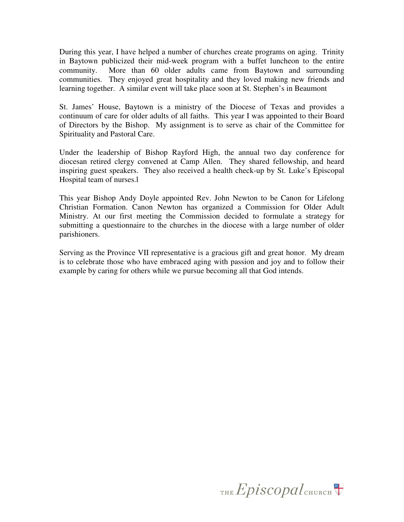During this year, I have helped a number of churches create programs on aging. Trinity in Baytown publicized their mid-week program with a buffet luncheon to the entire community. More than 60 older adults came from Baytown and surrounding communities. They enjoyed great hospitality and they loved making new friends and learning together. A similar event will take place soon at St. Stephen's in Beaumont

St. James' House, Baytown is a ministry of the Diocese of Texas and provides a continuum of care for older adults of all faiths. This year I was appointed to their Board of Directors by the Bishop. My assignment is to serve as chair of the Committee for Spirituality and Pastoral Care.

Under the leadership of Bishop Rayford High, the annual two day conference for diocesan retired clergy convened at Camp Allen. They shared fellowship, and heard inspiring guest speakers. They also received a health check-up by St. Luke's Episcopal Hospital team of nurses.l

This year Bishop Andy Doyle appointed Rev. John Newton to be Canon for Lifelong Christian Formation. Canon Newton has organized a Commission for Older Adult Ministry. At our first meeting the Commission decided to formulate a strategy for submitting a questionnaire to the churches in the diocese with a large number of older parishioners.

Serving as the Province VII representative is a gracious gift and great honor. My dream is to celebrate those who have embraced aging with passion and joy and to follow their example by caring for others while we pursue becoming all that God intends.

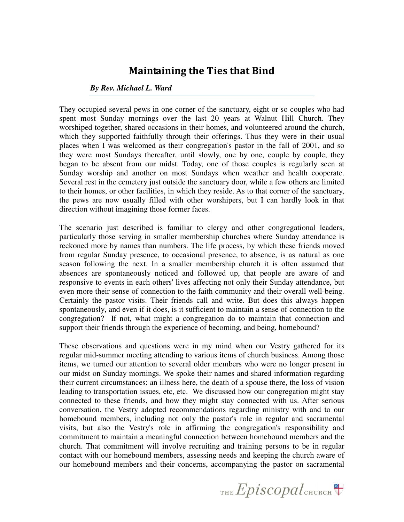### Maintaining the Ties that Bind

#### *By Rev. Michael L. Ward*

They occupied several pews in one corner of the sanctuary, eight or so couples who had spent most Sunday mornings over the last 20 years at Walnut Hill Church. They worshiped together, shared occasions in their homes, and volunteered around the church, which they supported faithfully through their offerings. Thus they were in their usual places when I was welcomed as their congregation's pastor in the fall of 2001, and so they were most Sundays thereafter, until slowly, one by one, couple by couple, they began to be absent from our midst. Today, one of those couples is regularly seen at Sunday worship and another on most Sundays when weather and health cooperate. Several rest in the cemetery just outside the sanctuary door, while a few others are limited to their homes, or other facilities, in which they reside. As to that corner of the sanctuary, the pews are now usually filled with other worshipers, but I can hardly look in that direction without imagining those former faces.

The scenario just described is familiar to clergy and other congregational leaders, particularly those serving in smaller membership churches where Sunday attendance is reckoned more by names than numbers. The life process, by which these friends moved from regular Sunday presence, to occasional presence, to absence, is as natural as one season following the next. In a smaller membership church it is often assumed that absences are spontaneously noticed and followed up, that people are aware of and responsive to events in each others' lives affecting not only their Sunday attendance, but even more their sense of connection to the faith community and their overall well-being. Certainly the pastor visits. Their friends call and write. But does this always happen spontaneously, and even if it does, is it sufficient to maintain a sense of connection to the congregation? If not, what might a congregation do to maintain that connection and support their friends through the experience of becoming, and being, homebound?

These observations and questions were in my mind when our Vestry gathered for its regular mid-summer meeting attending to various items of church business. Among those items, we turned our attention to several older members who were no longer present in our midst on Sunday mornings. We spoke their names and shared information regarding their current circumstances: an illness here, the death of a spouse there, the loss of vision leading to transportation issues, etc, etc. We discussed how our congregation might stay connected to these friends, and how they might stay connected with us. After serious conversation, the Vestry adopted recommendations regarding ministry with and to our homebound members, including not only the pastor's role in regular and sacramental visits, but also the Vestry's role in affirming the congregation's responsibility and commitment to maintain a meaningful connection between homebound members and the church. That commitment will involve recruiting and training persons to be in regular contact with our homebound members, assessing needs and keeping the church aware of our homebound members and their concerns, accompanying the pastor on sacramental

THE Episcopal CHURCH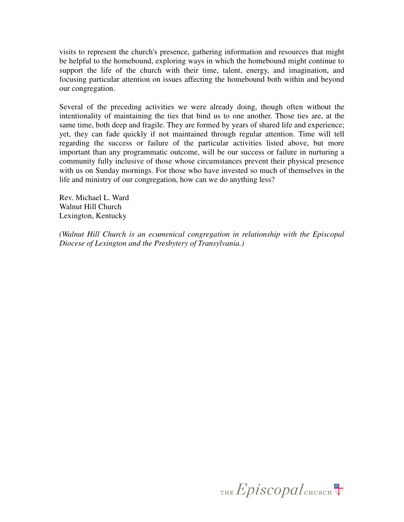visits to represent the church's presence, gathering information and resources that might be helpful to the homebound, exploring ways in which the homebound might continue to support the life of the church with their time, talent, energy, and imagination, and focusing particular attention on issues affecting the homebound both within and beyond our congregation.

Several of the preceding activities we were already doing, though often without the intentionality of maintaining the ties that bind us to one another. Those ties are, at the same time, both deep and fragile. They are formed by years of shared life and experience; yet, they can fade quickly if not maintained through regular attention. Time will tell regarding the success or failure of the particular activities listed above, but more important than any programmatic outcome, will be our success or failure in nurturing a community fully inclusive of those whose circumstances prevent their physical presence with us on Sunday mornings. For those who have invested so much of themselves in the life and ministry of our congregation, how can we do anything less?

Rev. Michael L. Ward Walnut Hill Church Lexington, Kentucky

*(Walnut Hill Church is an ecumenical congregation in relationship with the Episcopal Diocese of Lexington and the Presbytery of Transylvania.)* 

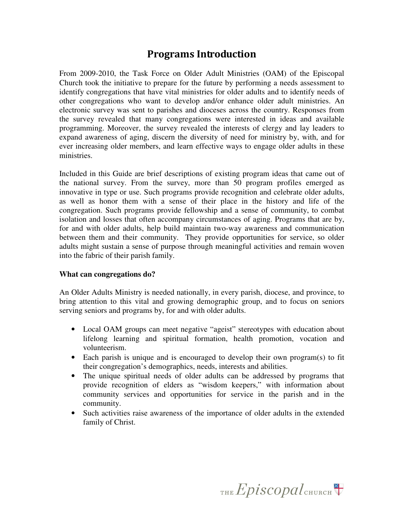## Programs Introduction

From 2009-2010, the Task Force on Older Adult Ministries (OAM) of the Episcopal Church took the initiative to prepare for the future by performing a needs assessment to identify congregations that have vital ministries for older adults and to identify needs of other congregations who want to develop and/or enhance older adult ministries. An electronic survey was sent to parishes and dioceses across the country. Responses from the survey revealed that many congregations were interested in ideas and available programming. Moreover, the survey revealed the interests of clergy and lay leaders to expand awareness of aging, discern the diversity of need for ministry by, with, and for ever increasing older members, and learn effective ways to engage older adults in these ministries.

Included in this Guide are brief descriptions of existing program ideas that came out of the national survey. From the survey, more than 50 program profiles emerged as innovative in type or use. Such programs provide recognition and celebrate older adults, as well as honor them with a sense of their place in the history and life of the congregation. Such programs provide fellowship and a sense of community, to combat isolation and losses that often accompany circumstances of aging. Programs that are by, for and with older adults, help build maintain two-way awareness and communication between them and their community. They provide opportunities for service, so older adults might sustain a sense of purpose through meaningful activities and remain woven into the fabric of their parish family.

#### **What can congregations do?**

An Older Adults Ministry is needed nationally, in every parish, diocese, and province, to bring attention to this vital and growing demographic group, and to focus on seniors serving seniors and programs by, for and with older adults.

- Local OAM groups can meet negative "ageist" stereotypes with education about lifelong learning and spiritual formation, health promotion, vocation and volunteerism.
- Each parish is unique and is encouraged to develop their own program(s) to fit their congregation's demographics, needs, interests and abilities.
- The unique spiritual needs of older adults can be addressed by programs that provide recognition of elders as "wisdom keepers," with information about community services and opportunities for service in the parish and in the community.
- Such activities raise awareness of the importance of older adults in the extended family of Christ.

THE Episcopal CHURCH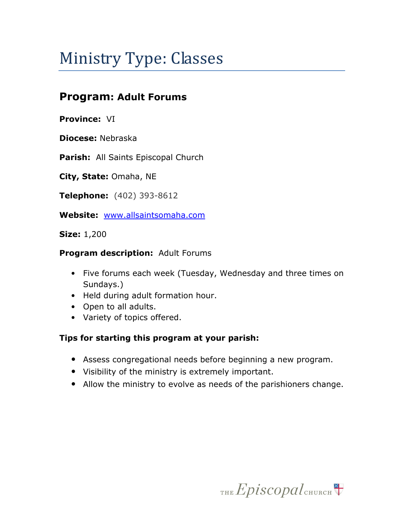# Ministry Type: Classes

# Program: Adult Forums

Province: VI

Diocese: Nebraska

Parish: All Saints Episcopal Church

City, State: Omaha, NE

Telephone: (402) 393-8612

Website: www.allsaintsomaha.com

Size: 1,200

#### **Program description: Adult Forums**

- Five forums each week (Tuesday, Wednesday and three times on Sundays.)
- Held during adult formation hour.
- Open to all adults.
- Variety of topics offered.

#### Tips for starting this program at your parish:

- Assess congregational needs before beginning a new program.
- Visibility of the ministry is extremely important.
- Allow the ministry to evolve as needs of the parishioners change.

THE Episcopal CHURCH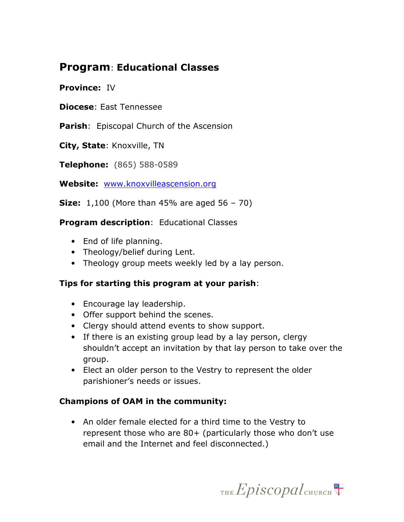## Program: Educational Classes

#### Province: IV

Diocese: East Tennessee

**Parish:** Episcopal Church of the Ascension

City, State: Knoxville, TN

Telephone: (865) 588-0589

Website: www.knoxvilleascension.org

**Size:** 1,100 (More than 45% are aged  $56 - 70$ )

#### **Program description: Educational Classes**

- End of life planning.
- Theology/belief during Lent.
- Theology group meets weekly led by a lay person.

#### Tips for starting this program at your parish:

- Encourage lay leadership.
- Offer support behind the scenes.
- Clergy should attend events to show support.
- If there is an existing group lead by a lay person, clergy shouldn't accept an invitation by that lay person to take over the group.
- Elect an older person to the Vestry to represent the older parishioner's needs or issues.

#### Champions of OAM in the community:

• An older female elected for a third time to the Vestry to represent those who are 80+ (particularly those who don't use email and the Internet and feel disconnected.)

THE  $Epis copal$ <sub>CHURCH</sub>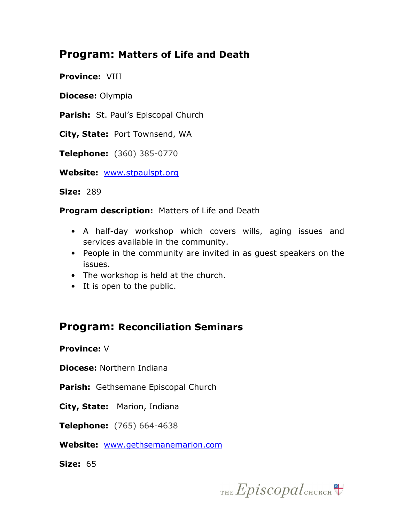## Program: Matters of Life and Death

Province: VIII

Diocese: Olympia

Parish: St. Paul's Episcopal Church

City, State: Port Townsend, WA

Telephone: (360) 385-0770

Website: www.stpaulspt.org

Size: 289

**Program description: Matters of Life and Death** 

- A half-day workshop which covers wills, aging issues and services available in the community.
- People in the community are invited in as guest speakers on the issues.
- The workshop is held at the church.
- It is open to the public.

## Program: Reconciliation Seminars

Province: V

Diocese: Northern Indiana

Parish: Gethsemane Episcopal Church

City, State: Marion, Indiana

Telephone: (765) 664-4638

Website: www.gethsemanemarion.com

Size: 65

THE  $Epis copal$ <sub>CHURCH</sub>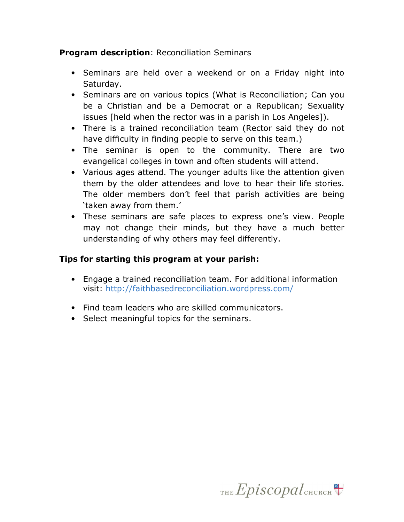#### **Program description: Reconciliation Seminars**

- Seminars are held over a weekend or on a Friday night into Saturday.
- Seminars are on various topics (What is Reconciliation; Can you be a Christian and be a Democrat or a Republican; Sexuality issues [held when the rector was in a parish in Los Angeles]).
- There is a trained reconciliation team (Rector said they do not have difficulty in finding people to serve on this team.)
- The seminar is open to the community. There are two evangelical colleges in town and often students will attend.
- Various ages attend. The younger adults like the attention given them by the older attendees and love to hear their life stories. The older members don't feel that parish activities are being 'taken away from them.'
- These seminars are safe places to express one's view. People may not change their minds, but they have a much better understanding of why others may feel differently.

#### Tips for starting this program at your parish:

- Engage a trained reconciliation team. For additional information visit: http://faithbasedreconciliation.wordpress.com/
- Find team leaders who are skilled communicators.
- Select meaningful topics for the seminars.

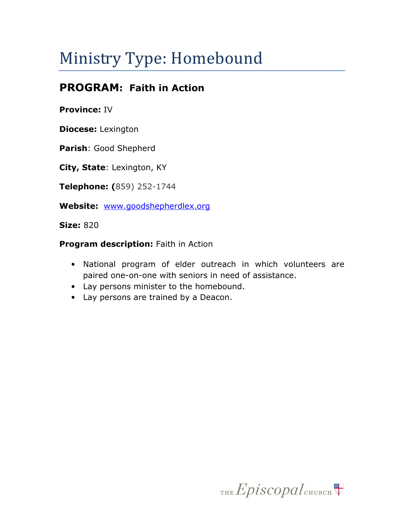# Ministry Type: Homebound

# PROGRAM: Faith in Action

#### Province: IV

Diocese: Lexington

Parish: Good Shepherd

City, State: Lexington, KY

Telephone: (859) 252-1744

Website: www.goodshepherdlex.org

**Size: 820** 

#### Program description: Faith in Action

- National program of elder outreach in which volunteers are paired one-on-one with seniors in need of assistance.
- Lay persons minister to the homebound.
- Lay persons are trained by a Deacon.

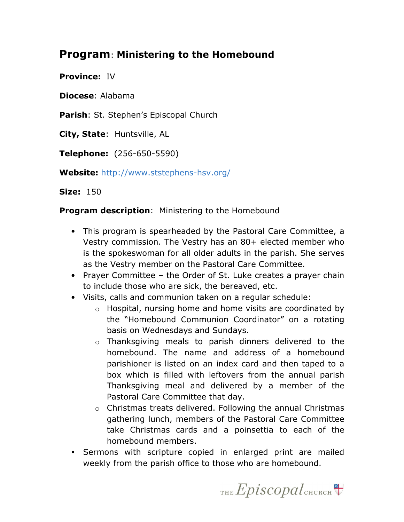## Program: Ministering to the Homebound

Province: IV

Diocese: Alabama

Parish: St. Stephen's Episcopal Church

City, State: Huntsville, AL

Telephone: (256-650-5590)

Website: http://www.ststephens-hsv.org/

**Size: 150** 

**Program description:** Ministering to the Homebound

- This program is spearheaded by the Pastoral Care Committee, a Vestry commission. The Vestry has an 80+ elected member who is the spokeswoman for all older adults in the parish. She serves as the Vestry member on the Pastoral Care Committee.
- Prayer Committee the Order of St. Luke creates a prayer chain to include those who are sick, the bereaved, etc.
- Visits, calls and communion taken on a regular schedule:
	- o Hospital, nursing home and home visits are coordinated by the "Homebound Communion Coordinator" on a rotating basis on Wednesdays and Sundays.
	- o Thanksgiving meals to parish dinners delivered to the homebound. The name and address of a homebound parishioner is listed on an index card and then taped to a box which is filled with leftovers from the annual parish Thanksgiving meal and delivered by a member of the Pastoral Care Committee that day.
	- o Christmas treats delivered. Following the annual Christmas gathering lunch, members of the Pastoral Care Committee take Christmas cards and a poinsettia to each of the homebound members.
- Sermons with scripture copied in enlarged print are mailed weekly from the parish office to those who are homebound.

THE  $Epis copal$ <sub>CHURCH</sub>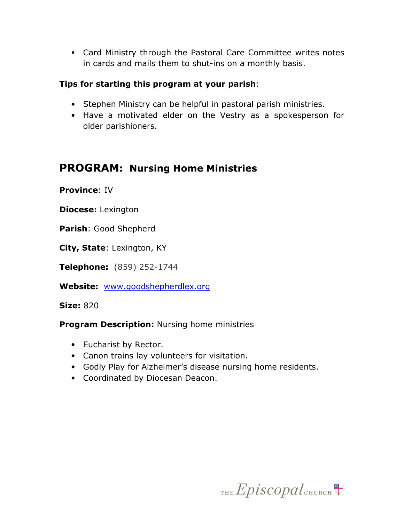Card Ministry through the Pastoral Care Committee writes notes in cards and mails them to shut-ins on a monthly basis.

#### Tips for starting this program at your parish:

- Stephen Ministry can be helpful in pastoral parish ministries.
- Have a motivated elder on the Vestry as a spokesperson for older parishioners.

## PROGRAM: Nursing Home Ministries

Province: IV

Diocese: Lexington

Parish: Good Shepherd

City, State: Lexington, KY

Telephone: (859) 252-1744

Website: www.goodshepherdlex.org

Size: 820

**Program Description: Nursing home ministries** 

- Eucharist by Rector.
- Canon trains lay volunteers for visitation.
- Godly Play for Alzheimer's disease nursing home residents.
- Coordinated by Diocesan Deacon.

THE  $Epis copal$ <sub>CHURCH</sub>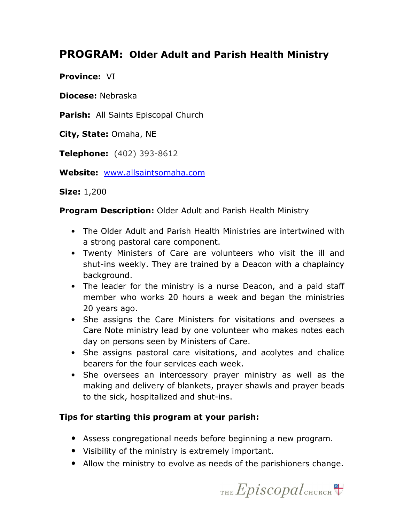# PROGRAM: Older Adult and Parish Health Ministry

Province: **VI** 

Diocese: Nebraska

Parish: All Saints Episcopal Church

City, State: Omaha, NE

Telephone: (402) 393-8612

Website: www.allsaintsomaha.com

Size: 1,200

**Program Description: Older Adult and Parish Health Ministry** 

- The Older Adult and Parish Health Ministries are intertwined with a strong pastoral care component.
- Twenty Ministers of Care are volunteers who visit the ill and shut-ins weekly. They are trained by a Deacon with a chaplaincy background.
- The leader for the ministry is a nurse Deacon, and a paid staff member who works 20 hours a week and began the ministries 20 years ago.
- She assigns the Care Ministers for visitations and oversees a Care Note ministry lead by one volunteer who makes notes each day on persons seen by Ministers of Care.
- She assigns pastoral care visitations, and acolytes and chalice bearers for the four services each week.
- She oversees an intercessory prayer ministry as well as the making and delivery of blankets, prayer shawls and prayer beads to the sick, hospitalized and shut-ins.

#### Tips for starting this program at your parish:

- Assess congregational needs before beginning a new program.
- Visibility of the ministry is extremely important.
- Allow the ministry to evolve as needs of the parishioners change.

THE  $Epis copal$ <sub>CHURCH</sub>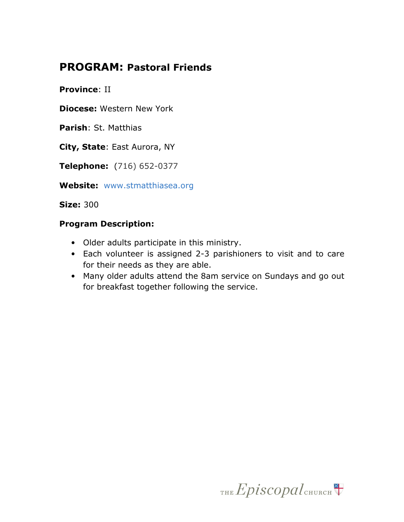## PROGRAM: Pastoral Friends

Province: II

Diocese: Western New York

Parish: St. Matthias

City, State: East Aurora, NY

Telephone: (716) 652-0377

Website: www.stmatthiasea.org

Size: 300

#### Program Description:

- Older adults participate in this ministry.
- Each volunteer is assigned 2-3 parishioners to visit and to care for their needs as they are able.
- Many older adults attend the 8am service on Sundays and go out for breakfast together following the service.

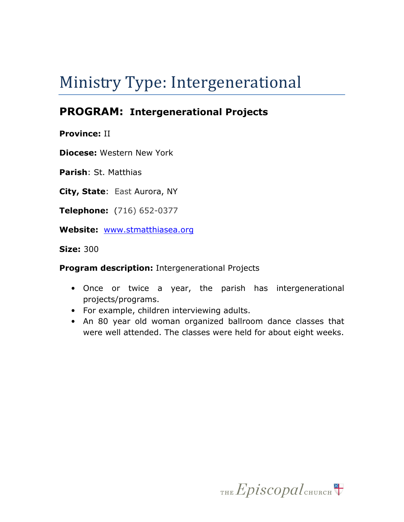# Ministry Type: Intergenerational

# PROGRAM: Intergenerational Projects

Province: II

Diocese: Western New York

Parish: St. Matthias

City, State: East Aurora, NY

Telephone: (716) 652-0377

Website: www.stmatthiasea.org

Size: 300

Program description: Intergenerational Projects

- Once or twice a year, the parish has intergenerational projects/programs.
- For example, children interviewing adults.
- An 80 year old woman organized ballroom dance classes that were well attended. The classes were held for about eight weeks.

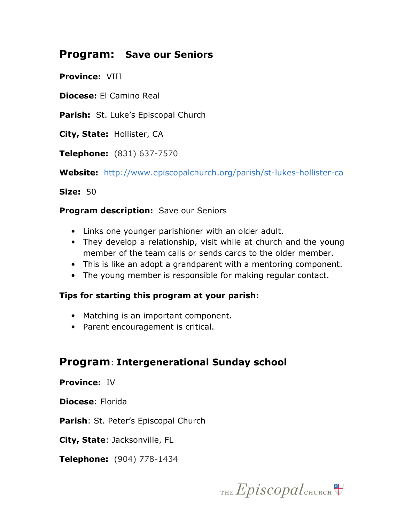## Program: Save our Seniors

Province: VIII

Diocese: El Camino Real

Parish: St. Luke's Episcopal Church

City, State: Hollister, CA

Telephone: (831) 637-7570

Website: http://www.episcopalchurch.org/parish/st-lukes-hollister-ca

Size: 50

#### Program description: Save our Seniors

- Links one younger parishioner with an older adult.
- They develop a relationship, visit while at church and the young member of the team calls or sends cards to the older member.
- This is like an adopt a grandparent with a mentoring component.
- The young member is responsible for making regular contact.

#### Tips for starting this program at your parish:

- Matching is an important component.
- Parent encouragement is critical.

## Program: Intergenerational Sunday school

#### Province: IV

Diocese: Florida

Parish: St. Peter's Episcopal Church

City, State: Jacksonville, FL

Telephone: (904) 778-1434

THE  $Epis copal$ <sub>CHURCH</sub>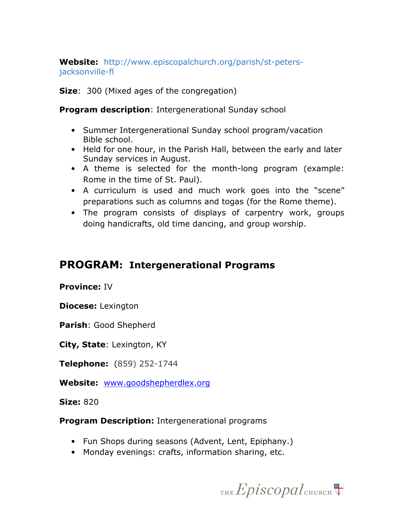Website: http://www.episcopalchurch.org/parish/st-petersjacksonville-fl

**Size:** 300 (Mixed ages of the congregation)

**Program description: Intergenerational Sunday school** 

- Summer Intergenerational Sunday school program/vacation Bible school.
- Held for one hour, in the Parish Hall, between the early and later Sunday services in August.
- A theme is selected for the month-long program (example: Rome in the time of St. Paul).
- A curriculum is used and much work goes into the "scene" preparations such as columns and togas (for the Rome theme).
- The program consists of displays of carpentry work, groups doing handicrafts, old time dancing, and group worship.

# PROGRAM: Intergenerational Programs

#### Province: IV

Diocese: Lexington

Parish: Good Shepherd

City, State: Lexington, KY

Telephone: (859) 252-1744

Website: www.goodshepherdlex.org

**Size: 820** 

**Program Description: Intergenerational programs** 

- Fun Shops during seasons (Advent, Lent, Epiphany.)
- Monday evenings: crafts, information sharing, etc.

THE Episcopal CHURCH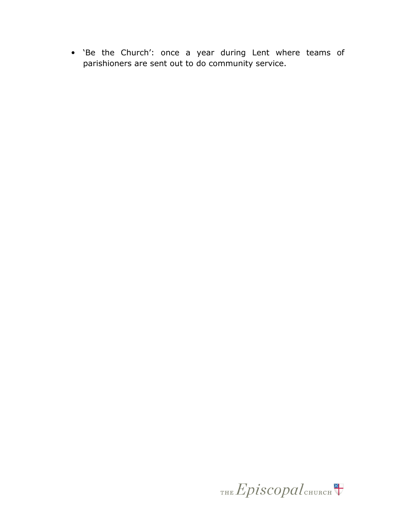• 'Be the Church': once a year during Lent where teams of parishioners are sent out to do community service.

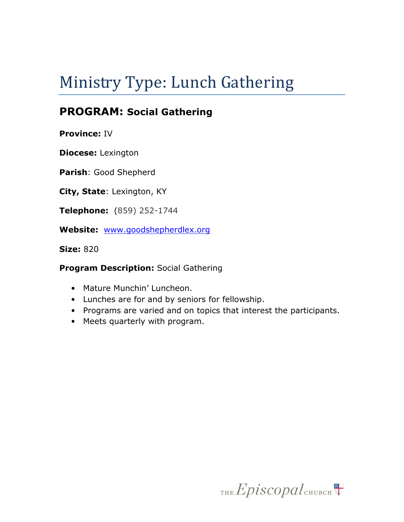# Ministry Type: Lunch Gathering

# PROGRAM: Social Gathering

Province: IV

Diocese: Lexington

Parish: Good Shepherd

City, State: Lexington, KY

Telephone: (859) 252-1744

Website: www.goodshepherdlex.org

Size: 820

**Program Description: Social Gathering** 

- Mature Munchin' Luncheon.
- Lunches are for and by seniors for fellowship.
- Programs are varied and on topics that interest the participants.
- Meets quarterly with program.

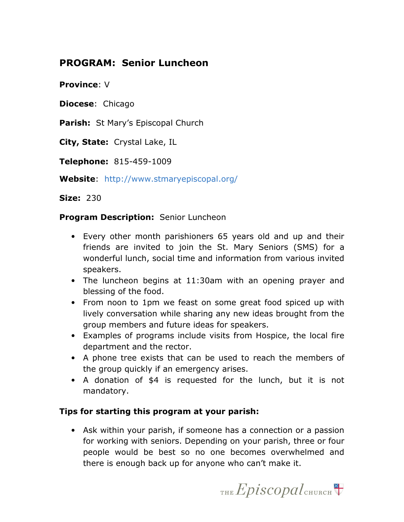## PROGRAM: Senior Luncheon

Province: V

**Diocese: Chicago** 

Parish: St Mary's Episcopal Church

City, State: Crystal Lake, IL

Telephone: 815-459-1009

Website: http://www.stmaryepiscopal.org/

Size: 230

#### **Program Description: Senior Luncheon**

- Every other month parishioners 65 years old and up and their friends are invited to join the St. Mary Seniors (SMS) for a wonderful lunch, social time and information from various invited speakers.
- The luncheon begins at 11:30am with an opening prayer and blessing of the food.
- From noon to 1pm we feast on some great food spiced up with lively conversation while sharing any new ideas brought from the group members and future ideas for speakers.
- Examples of programs include visits from Hospice, the local fire department and the rector.
- A phone tree exists that can be used to reach the members of the group quickly if an emergency arises.
- A donation of \$4 is requested for the lunch, but it is not mandatory.

#### Tips for starting this program at your parish:

• Ask within your parish, if someone has a connection or a passion for working with seniors. Depending on your parish, three or four people would be best so no one becomes overwhelmed and there is enough back up for anyone who can't make it.

THE  $Epis copal$ <sub>CHURCH</sub>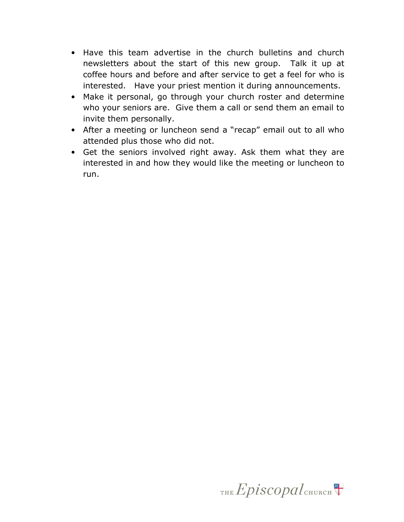- Have this team advertise in the church bulletins and church newsletters about the start of this new group. Talk it up at coffee hours and before and after service to get a feel for who is interested. Have your priest mention it during announcements.
- Make it personal, go through your church roster and determine who your seniors are. Give them a call or send them an email to invite them personally.
- After a meeting or luncheon send a "recap" email out to all who attended plus those who did not.
- Get the seniors involved right away. Ask them what they are interested in and how they would like the meeting or luncheon to run.

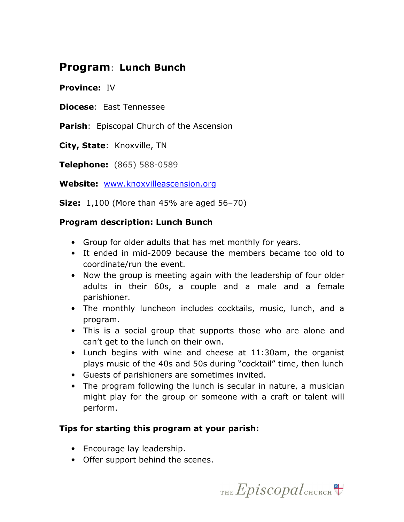## Program: Lunch Bunch

Province: IV

Diocese: East Tennessee

Parish: Episcopal Church of the Ascension

City, State: Knoxville, TN

Telephone: (865) 588-0589

Website: www.knoxvilleascension.org

**Size:** 1,100 (More than 45% are aged 56-70)

#### Program description: Lunch Bunch

- Group for older adults that has met monthly for years.
- It ended in mid-2009 because the members became too old to coordinate/run the event.
- Now the group is meeting again with the leadership of four older adults in their 60s, a couple and a male and a female parishioner.
- The monthly luncheon includes cocktails, music, lunch, and a program.
- This is a social group that supports those who are alone and can't get to the lunch on their own.
- Lunch begins with wine and cheese at 11:30am, the organist plays music of the 40s and 50s during "cocktail" time, then lunch
- Guests of parishioners are sometimes invited.
- The program following the lunch is secular in nature, a musician might play for the group or someone with a craft or talent will perform.

#### Tips for starting this program at your parish:

- Encourage lay leadership.
- Offer support behind the scenes.

THE Episcopal CHURCH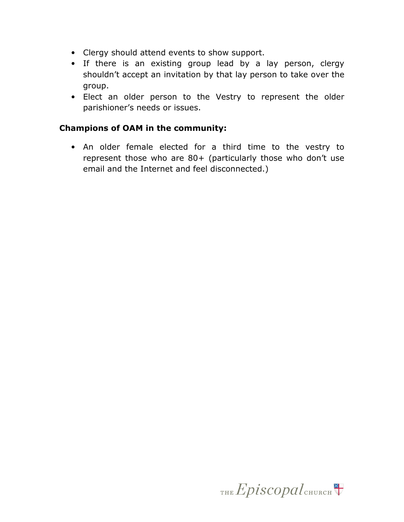- Clergy should attend events to show support.
- If there is an existing group lead by a lay person, clergy shouldn't accept an invitation by that lay person to take over the group.
- Elect an older person to the Vestry to represent the older parishioner's needs or issues.

#### Champions of OAM in the community:

• An older female elected for a third time to the vestry to represent those who are 80+ (particularly those who don't use email and the Internet and feel disconnected.)

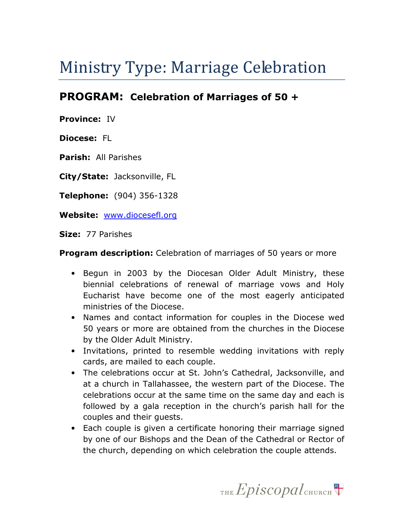# Ministry Type: Marriage Celebration

## PROGRAM: Celebration of Marriages of 50 +

Province: IV

Diocese: FL

Parish: All Parishes

City/State: Jacksonville, FL

Telephone: (904) 356-1328

Website: www.diocesefl.org

Size: 77 Parishes

**Program description:** Celebration of marriages of 50 years or more

- Begun in 2003 by the Diocesan Older Adult Ministry, these biennial celebrations of renewal of marriage vows and Holy Eucharist have become one of the most eagerly anticipated ministries of the Diocese.
- Names and contact information for couples in the Diocese wed 50 years or more are obtained from the churches in the Diocese by the Older Adult Ministry.
- Invitations, printed to resemble wedding invitations with reply cards, are mailed to each couple.
- The celebrations occur at St. John's Cathedral, Jacksonville, and at a church in Tallahassee, the western part of the Diocese. The celebrations occur at the same time on the same day and each is followed by a gala reception in the church's parish hall for the couples and their guests.
- Each couple is given a certificate honoring their marriage signed by one of our Bishops and the Dean of the Cathedral or Rector of the church, depending on which celebration the couple attends.

THE  $Epis copal$ <sub>CHURCH</sub>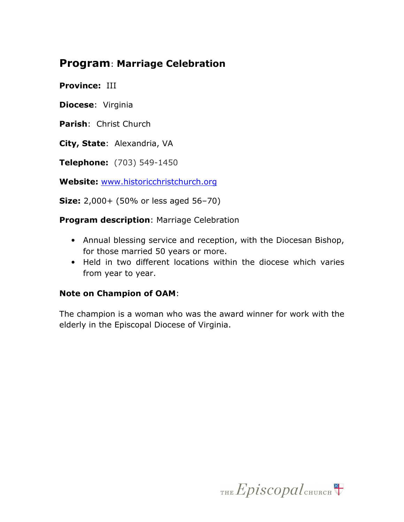# Program: Marriage Celebration

Province: III

Diocese: Virginia

Parish: Christ Church

City, State: Alexandria, VA

Telephone: (703) 549-1450

Website: www.historicchristchurch.org

Size: 2,000+ (50% or less aged 56–70)

**Program description: Marriage Celebration** 

- Annual blessing service and reception, with the Diocesan Bishop, for those married 50 years or more.
- Held in two different locations within the diocese which varies from year to year.

#### Note on Champion of OAM:

The champion is a woman who was the award winner for work with the elderly in the Episcopal Diocese of Virginia.

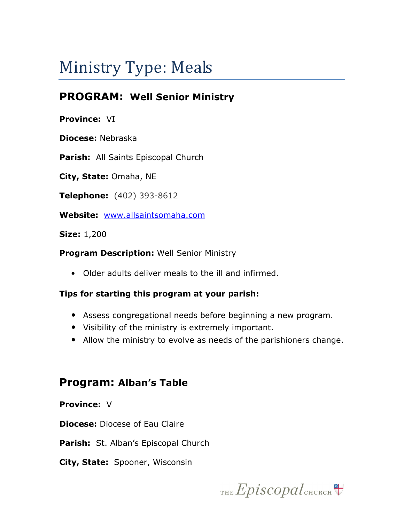# Ministry Type: Meals

# PROGRAM: Well Senior Ministry

#### Province: VI

Diocese: Nebraska

Parish: All Saints Episcopal Church

City, State: Omaha, NE

Telephone: (402) 393-8612

Website: www.allsaintsomaha.com

Size: 1,200

#### **Program Description: Well Senior Ministry**

• Older adults deliver meals to the ill and infirmed.

#### Tips for starting this program at your parish:

- Assess congregational needs before beginning a new program.
- Visibility of the ministry is extremely important.
- Allow the ministry to evolve as needs of the parishioners change.

## Program: Alban's Table

#### Province: V

**Diocese:** Diocese of Eau Claire

Parish: St. Alban's Episcopal Church

City, State: Spooner, Wisconsin

THE Episcopal CHURCH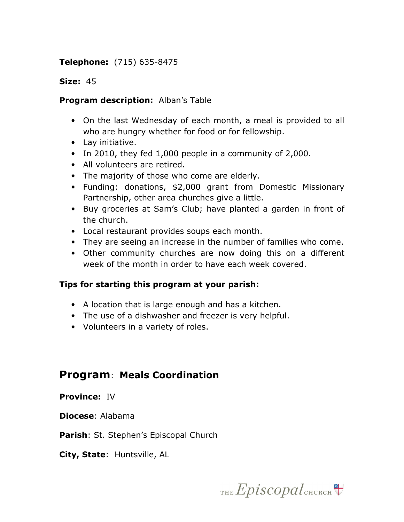#### Telephone: (715) 635-8475

#### Size: 45

#### Program description: Alban's Table

- On the last Wednesday of each month, a meal is provided to all who are hungry whether for food or for fellowship.
- Lay initiative.
- In 2010, they fed 1,000 people in a community of 2,000.
- All volunteers are retired.
- The majority of those who come are elderly.
- Funding: donations, \$2,000 grant from Domestic Missionary Partnership, other area churches give a little.
- Buy groceries at Sam's Club; have planted a garden in front of the church.
- Local restaurant provides soups each month.
- They are seeing an increase in the number of families who come.
- Other community churches are now doing this on a different week of the month in order to have each week covered.

#### Tips for starting this program at your parish:

- A location that is large enough and has a kitchen.
- The use of a dishwasher and freezer is very helpful.
- Volunteers in a variety of roles.

### Program: Meals Coordination

#### Province: IV

Diocese: Alabama

Parish: St. Stephen's Episcopal Church

City, State: Huntsville, AL

THE  $Epis copal$ <sub>CHURCH</sub>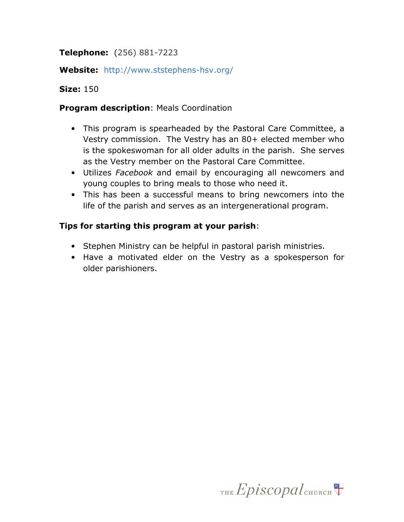#### Telephone: (256) 881-7223

#### Website: http://www.ststephens-hsv.org/

#### Size: 150

#### **Program description: Meals Coordination**

- This program is spearheaded by the Pastoral Care Committee, a Vestry commission. The Vestry has an 80+ elected member who is the spokeswoman for all older adults in the parish. She serves as the Vestry member on the Pastoral Care Committee.
- Utilizes Facebook and email by encouraging all newcomers and young couples to bring meals to those who need it.
- This has been a successful means to bring newcomers into the life of the parish and serves as an intergenerational program.

#### Tips for starting this program at your parish:

- Stephen Ministry can be helpful in pastoral parish ministries.
- Have a motivated elder on the Vestry as a spokesperson for older parishioners.

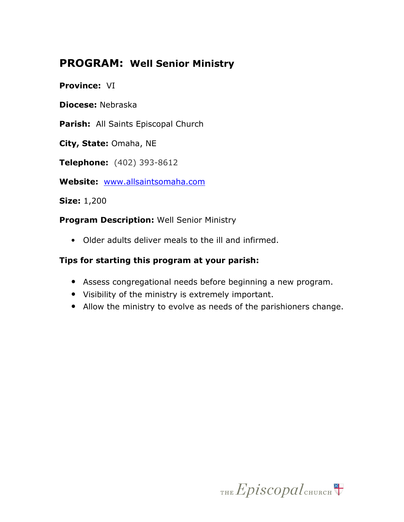# PROGRAM: Well Senior Ministry

Province: VI

Diocese: Nebraska

Parish: All Saints Episcopal Church

City, State: Omaha, NE

Telephone: (402) 393-8612

Website: www.allsaintsomaha.com

Size: 1,200

Program Description: Well Senior Ministry

• Older adults deliver meals to the ill and infirmed.

#### Tips for starting this program at your parish:

- Assess congregational needs before beginning a new program.
- Visibility of the ministry is extremely important.
- Allow the ministry to evolve as needs of the parishioners change.

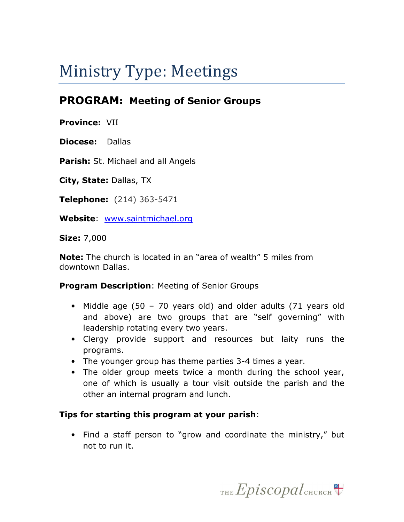# Ministry Type: Meetings

# PROGRAM: Meeting of Senior Groups

Province: VII

Diocese: Dallas

Parish: St. Michael and all Angels

City, State: Dallas, TX

Telephone: (214) 363-5471

Website: www.saintmichael.org

Size: 7,000

Note: The church is located in an "area of wealth" 5 miles from downtown Dallas.

**Program Description: Meeting of Senior Groups** 

- Middle age (50 70 years old) and older adults (71 years old and above) are two groups that are "self governing" with leadership rotating every two years.
- Clergy provide support and resources but laity runs the programs.
- The younger group has theme parties 3-4 times a year.
- The older group meets twice a month during the school year, one of which is usually a tour visit outside the parish and the other an internal program and lunch.

#### Tips for starting this program at your parish:

• Find a staff person to "grow and coordinate the ministry," but not to run it.

THE  $Epis copal$ <sub>CHURCH</sub>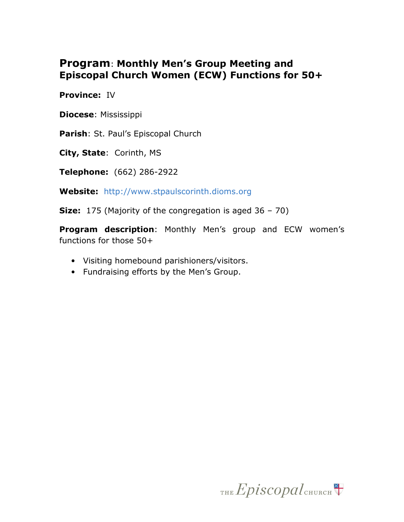## Program: Monthly Men's Group Meeting and Episcopal Church Women (ECW) Functions for 50+

Province: IV

Diocese: Mississippi

Parish: St. Paul's Episcopal Church

City, State: Corinth, MS

Telephone: (662) 286-2922

Website: http://www.stpaulscorinth.dioms.org

**Size:** 175 (Majority of the congregation is aged  $36 - 70$ )

Program description: Monthly Men's group and ECW women's functions for those 50+

- Visiting homebound parishioners/visitors.
- Fundraising efforts by the Men's Group.

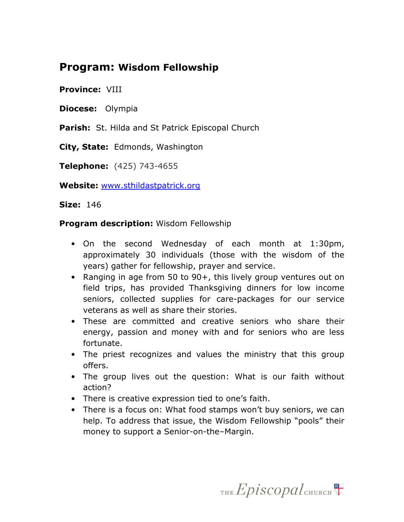## Program: Wisdom Fellowship

#### Province: VIII

Diocese: Olympia

Parish: St. Hilda and St Patrick Episcopal Church

City, State: Edmonds, Washington

Telephone: (425) 743-4655

Website: www.sthildastpatrick.org

**Size: 146** 

#### **Program description: Wisdom Fellowship**

- On the second Wednesday of each month at 1:30pm, approximately 30 individuals (those with the wisdom of the years) gather for fellowship, prayer and service.
- Ranging in age from 50 to 90+, this lively group ventures out on field trips, has provided Thanksgiving dinners for low income seniors, collected supplies for care-packages for our service veterans as well as share their stories.
- These are committed and creative seniors who share their energy, passion and money with and for seniors who are less fortunate.
- The priest recognizes and values the ministry that this group offers.
- The group lives out the question: What is our faith without action?
- There is creative expression tied to one's faith.
- There is a focus on: What food stamps won't buy seniors, we can help. To address that issue, the Wisdom Fellowship "pools" their money to support a Senior-on-the–Margin.

THE  $Epis copal$ <sub>CHURCH</sub>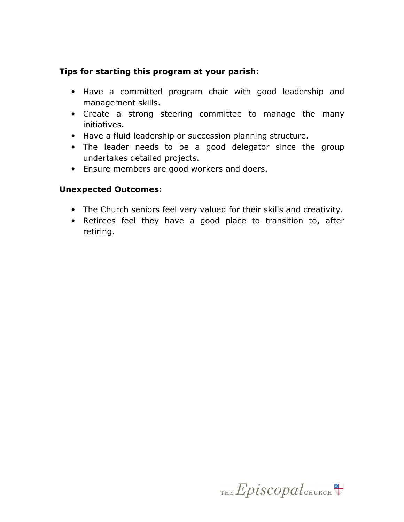#### Tips for starting this program at your parish:

- Have a committed program chair with good leadership and management skills.
- Create a strong steering committee to manage the many initiatives.
- Have a fluid leadership or succession planning structure.
- The leader needs to be a good delegator since the group undertakes detailed projects.
- Ensure members are good workers and doers.

#### Unexpected Outcomes:

- The Church seniors feel very valued for their skills and creativity.
- Retirees feel they have a good place to transition to, after retiring.

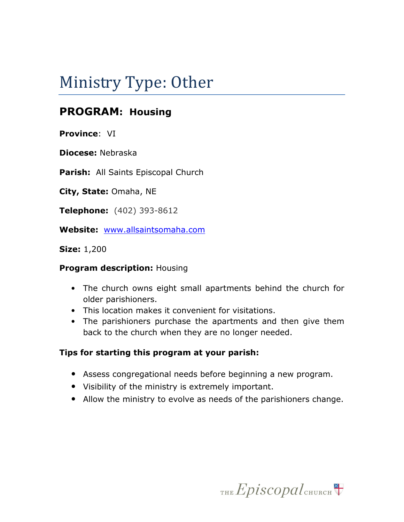# Ministry Type: Other

# PROGRAM: Housing

Province: VI

Diocese: Nebraska

Parish: All Saints Episcopal Church

City, State: Omaha, NE

Telephone: (402) 393-8612

Website: www.allsaintsomaha.com

Size: 1,200

#### **Program description: Housing**

- The church owns eight small apartments behind the church for older parishioners.
- This location makes it convenient for visitations.
- The parishioners purchase the apartments and then give them back to the church when they are no longer needed.

#### Tips for starting this program at your parish:

- Assess congregational needs before beginning a new program.
- Visibility of the ministry is extremely important.
- Allow the ministry to evolve as needs of the parishioners change.

THE Episcopal CHURCH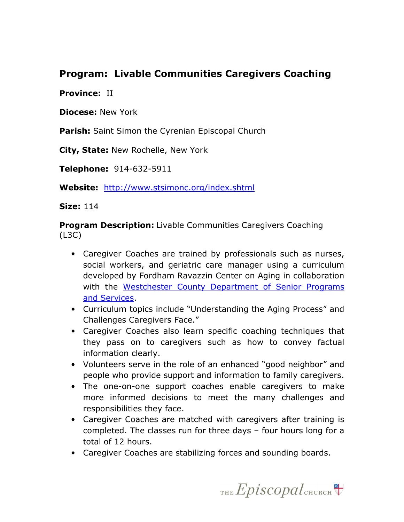### Program: Livable Communities Caregivers Coaching

#### Province: II

Diocese: New York

**Parish:** Saint Simon the Cyrenian Episcopal Church

City, State: New Rochelle, New York

Telephone: 914-632-5911

Website: http://www.stsimonc.org/index.shtml

Size: 114

**Program Description:** Livable Communities Caregivers Coaching (L3C)

- Caregiver Coaches are trained by professionals such as nurses, social workers, and geriatric care manager using a curriculum developed by Fordham Ravazzin Center on Aging in collaboration with the Westchester County Department of Senior Programs and Services.
- Curriculum topics include "Understanding the Aging Process" and Challenges Caregivers Face."
- Caregiver Coaches also learn specific coaching techniques that they pass on to caregivers such as how to convey factual information clearly.
- Volunteers serve in the role of an enhanced "good neighbor" and people who provide support and information to family caregivers.
- The one-on-one support coaches enable caregivers to make more informed decisions to meet the many challenges and responsibilities they face.
- Caregiver Coaches are matched with caregivers after training is completed. The classes run for three days – four hours long for a total of 12 hours.
- Caregiver Coaches are stabilizing forces and sounding boards.

THE  $Epis copal$ <sub>CHURCH</sub>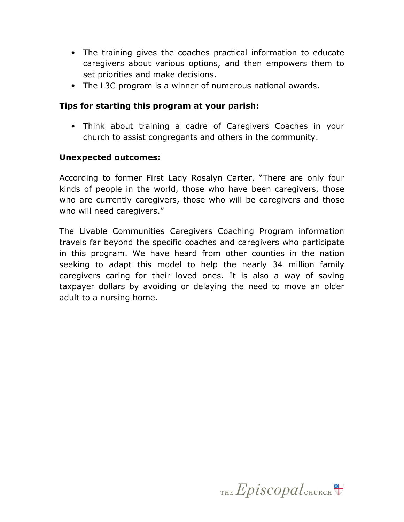- The training gives the coaches practical information to educate caregivers about various options, and then empowers them to set priorities and make decisions.
- The L3C program is a winner of numerous national awards.

#### Tips for starting this program at your parish:

• Think about training a cadre of Caregivers Coaches in your church to assist congregants and others in the community.

#### Unexpected outcomes:

According to former First Lady Rosalyn Carter, "There are only four kinds of people in the world, those who have been caregivers, those who are currently caregivers, those who will be caregivers and those who will need caregivers."

The Livable Communities Caregivers Coaching Program information travels far beyond the specific coaches and caregivers who participate in this program. We have heard from other counties in the nation seeking to adapt this model to help the nearly 34 million family caregivers caring for their loved ones. It is also a way of saving taxpayer dollars by avoiding or delaying the need to move an older adult to a nursing home.

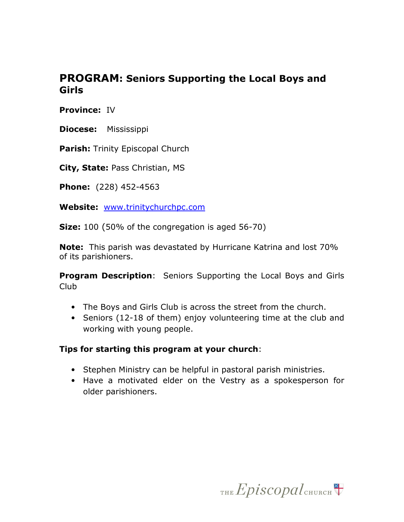## PROGRAM: Seniors Supporting the Local Boys and Girls

Province: IV

Diocese: Mississippi

Parish: Trinity Episcopal Church

City, State: Pass Christian, MS

Phone: (228) 452-4563

Website: www.trinitychurchpc.com

**Size:** 100 (50% of the congregation is aged 56-70)

**Note:** This parish was devastated by Hurricane Katrina and lost 70% of its parishioners.

**Program Description:** Seniors Supporting the Local Boys and Girls Club

- The Boys and Girls Club is across the street from the church.
- Seniors (12-18 of them) enjoy volunteering time at the club and working with young people.

#### Tips for starting this program at your church:

- Stephen Ministry can be helpful in pastoral parish ministries.
- Have a motivated elder on the Vestry as a spokesperson for older parishioners.

THE  $Epis copal$ <sub>CHURCH</sub>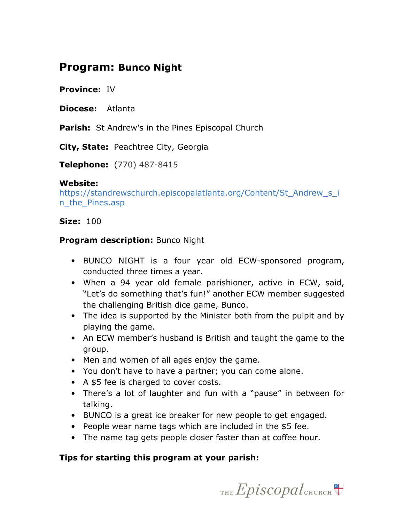## Program: Bunco Night

Province: IV

Diocese: Atlanta

**Parish:** St Andrew's in the Pines Episcopal Church

City, State: Peachtree City, Georgia

Telephone: (770) 487-8415

#### Website:

https://standrewschurch.episcopalatlanta.org/Content/St\_Andrew\_s\_i n\_the\_Pines.asp

#### **Size: 100**

#### **Program description: Bunco Night**

- BUNCO NIGHT is a four year old ECW-sponsored program, conducted three times a year.
- When a 94 year old female parishioner, active in ECW, said, "Let's do something that's fun!" another ECW member suggested the challenging British dice game, Bunco.
- The idea is supported by the Minister both from the pulpit and by playing the game.
- An ECW member's husband is British and taught the game to the group.
- Men and women of all ages enjoy the game.
- You don't have to have a partner; you can come alone.
- A \$5 fee is charged to cover costs.
- There's a lot of laughter and fun with a "pause" in between for talking.
- BUNCO is a great ice breaker for new people to get engaged.
- People wear name tags which are included in the \$5 fee.
- The name tag gets people closer faster than at coffee hour.

#### Tips for starting this program at your parish:

THE  $Epis copal$ <sub>CHURCH</sub>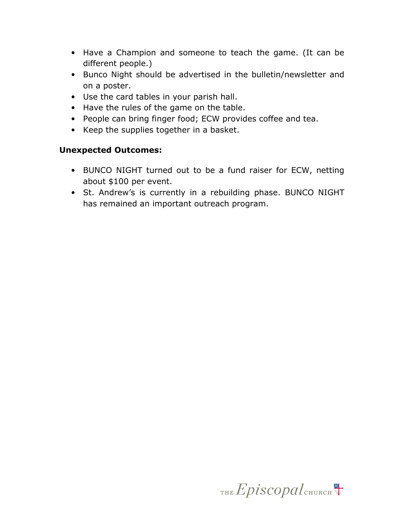- Have a Champion and someone to teach the game. (It can be different people.)
- Bunco Night should be advertised in the bulletin/newsletter and on a poster.
- Use the card tables in your parish hall.
- Have the rules of the game on the table.
- People can bring finger food; ECW provides coffee and tea.
- Keep the supplies together in a basket.

#### Unexpected Outcomes:

- BUNCO NIGHT turned out to be a fund raiser for ECW, netting about \$100 per event.
- St. Andrew's is currently in a rebuilding phase. BUNCO NIGHT has remained an important outreach program.

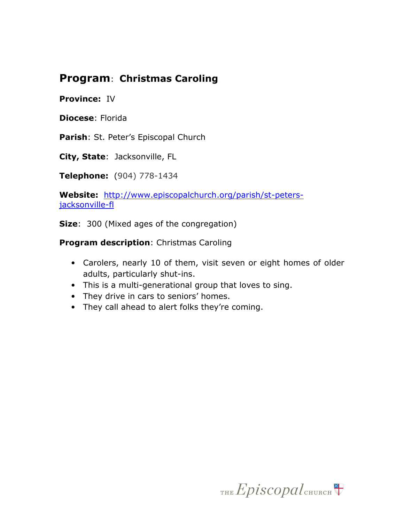## Program: Christmas Caroling

#### Province: IV

Diocese: Florida

Parish: St. Peter's Episcopal Church

City, State: Jacksonville, FL

Telephone: (904) 778-1434

Website: http://www.episcopalchurch.org/parish/st-petersjacksonville-fl

Size: 300 (Mixed ages of the congregation)

Program description: Christmas Caroling

- Carolers, nearly 10 of them, visit seven or eight homes of older adults, particularly shut-ins.
- This is a multi-generational group that loves to sing.
- They drive in cars to seniors' homes.
- They call ahead to alert folks they're coming.

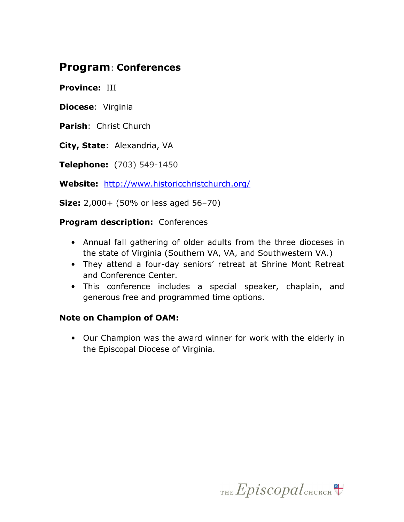## Program: Conferences

Province: III

Diocese: Virginia

Parish: Christ Church

City, State: Alexandria, VA

Telephone: (703) 549-1450

Website: http://www.historicchristchurch.org/

**Size:** 2,000+ (50% or less aged 56-70)

#### **Program description: Conferences**

- Annual fall gathering of older adults from the three dioceses in the state of Virginia (Southern VA, VA, and Southwestern VA.)
- They attend a four-day seniors' retreat at Shrine Mont Retreat and Conference Center.
- This conference includes a special speaker, chaplain, and generous free and programmed time options.

#### Note on Champion of OAM:

• Our Champion was the award winner for work with the elderly in the Episcopal Diocese of Virginia.

THE Episcopal CHURCH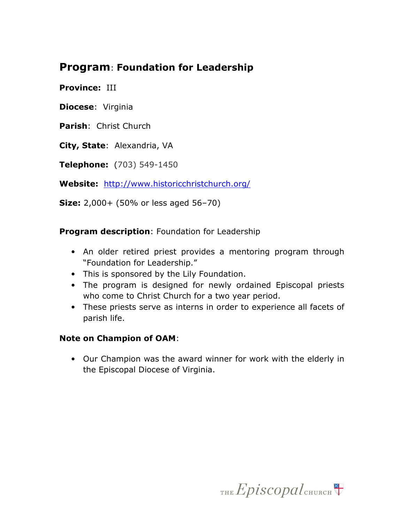## Program: Foundation for Leadership

Province: III

Diocese: Virginia

Parish: Christ Church

City, State: Alexandria, VA

Telephone: (703) 549-1450

Website: http://www.historicchristchurch.org/

**Size:** 2,000+ (50% or less aged 56-70)

**Program description: Foundation for Leadership** 

- An older retired priest provides a mentoring program through "Foundation for Leadership."
- This is sponsored by the Lily Foundation.
- The program is designed for newly ordained Episcopal priests who come to Christ Church for a two year period.
- These priests serve as interns in order to experience all facets of parish life.

#### Note on Champion of OAM:

• Our Champion was the award winner for work with the elderly in the Episcopal Diocese of Virginia.

THE  $Epis copal$ <sub>CHURCH</sub>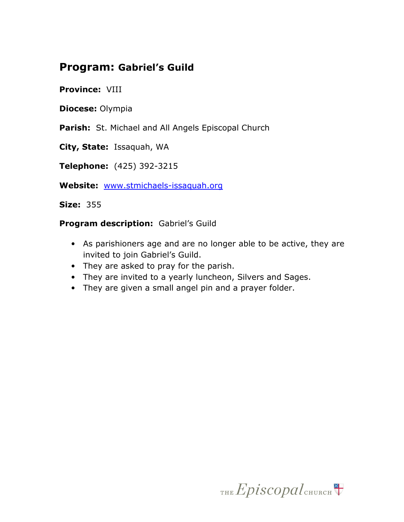## Program: Gabriel's Guild

#### Province: VIII

Diocese: Olympia

Parish: St. Michael and All Angels Episcopal Church

City, State: Issaquah, WA

Telephone: (425) 392-3215

Website: www.stmichaels-issaquah.org

**Size: 355** 

Program description: Gabriel's Guild

- As parishioners age and are no longer able to be active, they are invited to join Gabriel's Guild.
- They are asked to pray for the parish.
- They are invited to a yearly luncheon, Silvers and Sages.
- They are given a small angel pin and a prayer folder.

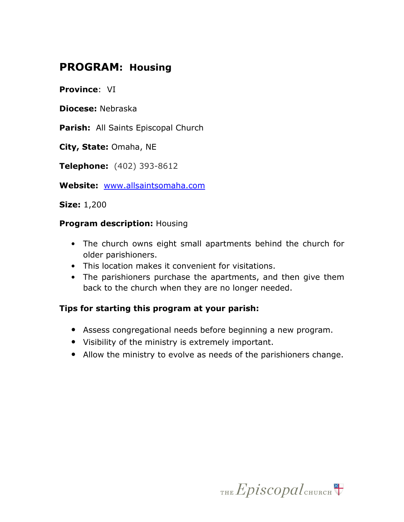## PROGRAM: Housing

Province: VI

Diocese: Nebraska

Parish: All Saints Episcopal Church

City, State: Omaha, NE

Telephone: (402) 393-8612

Website: www.allsaintsomaha.com

Size: 1,200

#### Program description: Housing

- The church owns eight small apartments behind the church for older parishioners.
- This location makes it convenient for visitations.
- The parishioners purchase the apartments, and then give them back to the church when they are no longer needed.

#### Tips for starting this program at your parish:

- Assess congregational needs before beginning a new program.
- Visibility of the ministry is extremely important.
- Allow the ministry to evolve as needs of the parishioners change.

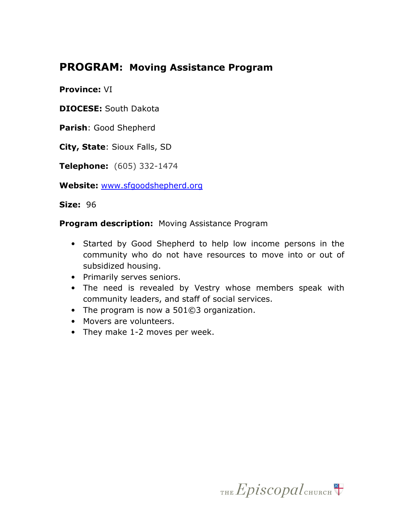## PROGRAM: Moving Assistance Program

Province: VI

DIOCESE: South Dakota

Parish: Good Shepherd

City, State: Sioux Falls, SD

Telephone: (605) 332-1474

Website: www.sfgoodshepherd.org

Size: 96

**Program description:** Moving Assistance Program

- Started by Good Shepherd to help low income persons in the community who do not have resources to move into or out of subsidized housing.
- Primarily serves seniors.
- The need is revealed by Vestry whose members speak with community leaders, and staff of social services.
- The program is now a 501©3 organization.
- Movers are volunteers.
- They make 1-2 moves per week.

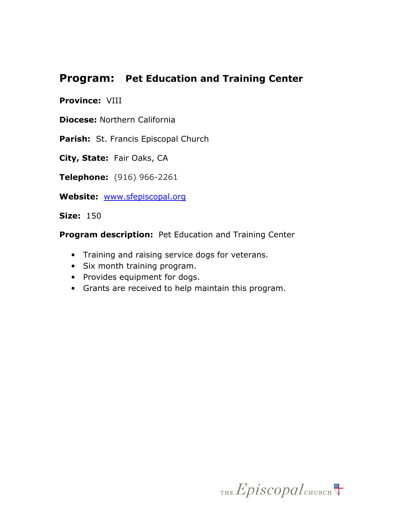## Program: Pet Education and Training Center

#### Province: VIII

Diocese: Northern California

Parish: St. Francis Episcopal Church

City, State: Fair Oaks, CA

Telephone: (916) 966-2261

Website: www.sfepiscopal.org

**Size: 150** 

Program description: Pet Education and Training Center

- Training and raising service dogs for veterans.
- Six month training program.
- Provides equipment for dogs.
- Grants are received to help maintain this program.

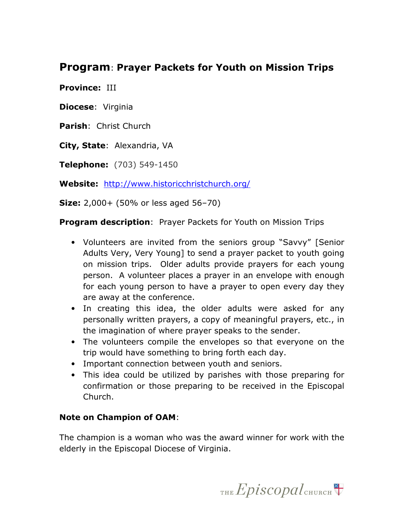## Program: Prayer Packets for Youth on Mission Trips

Province: III

Diocese: Virginia

Parish: Christ Church

City, State: Alexandria, VA

Telephone: (703) 549-1450

Website: http://www.historicchristchurch.org/

**Size:** 2,000+ (50% or less aged 56-70)

**Program description:** Prayer Packets for Youth on Mission Trips

- Volunteers are invited from the seniors group "Savvy" [Senior Adults Very, Very Young] to send a prayer packet to youth going on mission trips. Older adults provide prayers for each young person. A volunteer places a prayer in an envelope with enough for each young person to have a prayer to open every day they are away at the conference.
- In creating this idea, the older adults were asked for any personally written prayers, a copy of meaningful prayers, etc., in the imagination of where prayer speaks to the sender.
- The volunteers compile the envelopes so that everyone on the trip would have something to bring forth each day.
- Important connection between youth and seniors.
- This idea could be utilized by parishes with those preparing for confirmation or those preparing to be received in the Episcopal Church.

#### Note on Champion of OAM:

The champion is a woman who was the award winner for work with the elderly in the Episcopal Diocese of Virginia.

THE  $Epis copal$ <sub>CHURCH</sub>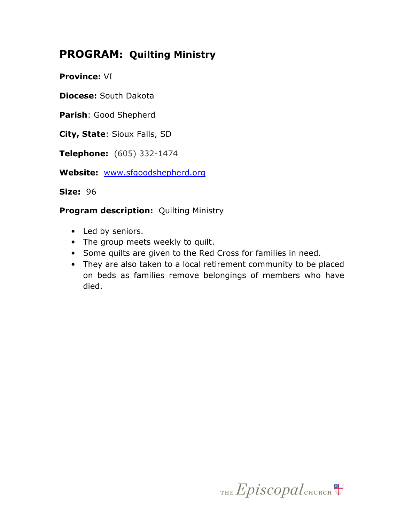# PROGRAM: Quilting Ministry

Province: VI

Diocese: South Dakota

Parish: Good Shepherd

City, State: Sioux Falls, SD

Telephone: (605) 332-1474

Website: www.sfgoodshepherd.org

Size: 96

**Program description:** Quilting Ministry

- Led by seniors.
- The group meets weekly to quilt.
- Some quilts are given to the Red Cross for families in need.
- They are also taken to a local retirement community to be placed on beds as families remove belongings of members who have died.

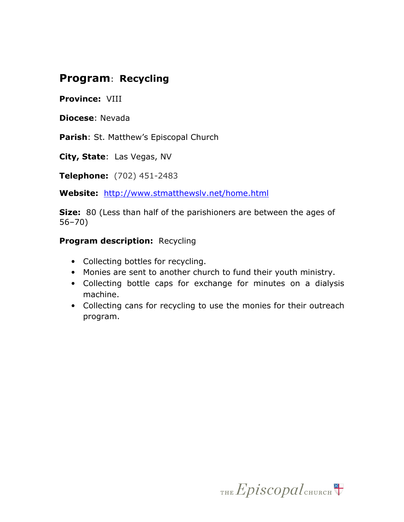# Program: Recycling

Province: VIII

Diocese: Nevada

Parish: St. Matthew's Episcopal Church

City, State: Las Vegas, NV

Telephone: (702) 451-2483

Website: http://www.stmatthewslv.net/home.html

**Size:** 80 (Less than half of the parishioners are between the ages of 56–70)

#### Program description: Recycling

- Collecting bottles for recycling.
- Monies are sent to another church to fund their youth ministry.
- Collecting bottle caps for exchange for minutes on a dialysis machine.
- Collecting cans for recycling to use the monies for their outreach program.

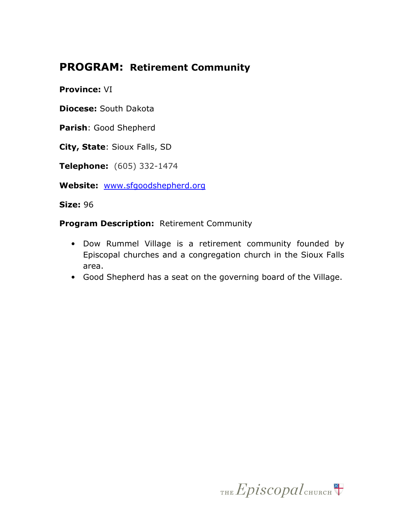# PROGRAM: Retirement Community

Province: VI

Diocese: South Dakota

Parish: Good Shepherd

City, State: Sioux Falls, SD

Telephone: (605) 332-1474

Website: www.sfgoodshepherd.org

Size: 96

Program Description: Retirement Community

- Dow Rummel Village is a retirement community founded by Episcopal churches and a congregation church in the Sioux Falls area.
- Good Shepherd has a seat on the governing board of the Village.

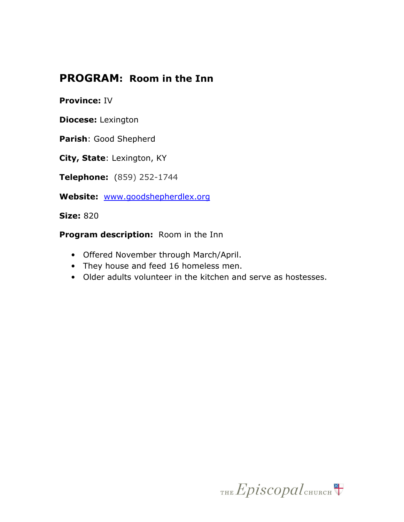## PROGRAM: Room in the Inn

#### Province: IV

Diocese: Lexington

Parish: Good Shepherd

City, State: Lexington, KY

Telephone: (859) 252-1744

Website: www.goodshepherdlex.org

**Size: 820** 

Program description: Room in the Inn

- Offered November through March/April.
- They house and feed 16 homeless men.
- Older adults volunteer in the kitchen and serve as hostesses.

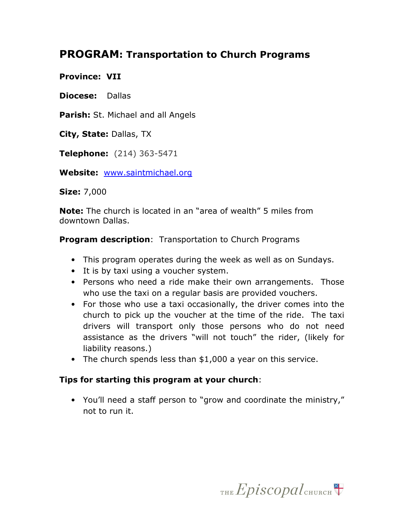## PROGRAM: Transportation to Church Programs

#### Province: VII

Diocese: Dallas

Parish: St. Michael and all Angels

City, State: Dallas, TX

Telephone: (214) 363-5471

Website: www.saintmichael.org

Size: 7,000

Note: The church is located in an "area of wealth" 5 miles from downtown Dallas.

**Program description:** Transportation to Church Programs

- This program operates during the week as well as on Sundays.
- It is by taxi using a voucher system.
- Persons who need a ride make their own arrangements. Those who use the taxi on a regular basis are provided vouchers.
- For those who use a taxi occasionally, the driver comes into the church to pick up the voucher at the time of the ride. The taxi drivers will transport only those persons who do not need assistance as the drivers "will not touch" the rider, (likely for liability reasons.)
- The church spends less than \$1,000 a year on this service.

#### Tips for starting this program at your church:

• You'll need a staff person to "grow and coordinate the ministry," not to run it.

THE  $Epis copal$ <sub>CHURCH</sub>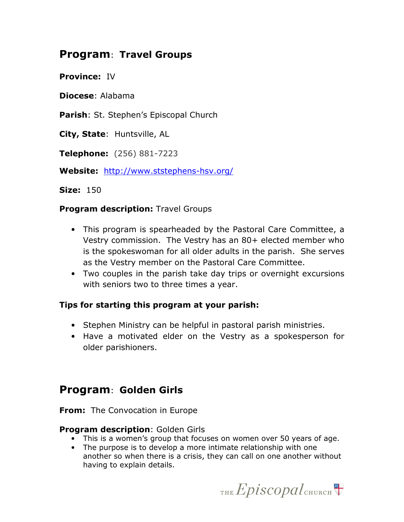## Program: Travel Groups

Province: IV

Diocese: Alabama

Parish: St. Stephen's Episcopal Church

City, State: Huntsville, AL

Telephone: (256) 881-7223

Website: http://www.ststephens-hsv.org/

**Size: 150** 

#### **Program description: Travel Groups**

- This program is spearheaded by the Pastoral Care Committee, a Vestry commission. The Vestry has an 80+ elected member who is the spokeswoman for all older adults in the parish. She serves as the Vestry member on the Pastoral Care Committee.
- Two couples in the parish take day trips or overnight excursions with seniors two to three times a year.

#### Tips for starting this program at your parish:

- Stephen Ministry can be helpful in pastoral parish ministries.
- Have a motivated elder on the Vestry as a spokesperson for older parishioners.

## Program: Golden Girls

**From:** The Convocation in Europe

#### **Program description: Golden Girls**

- This is a women's group that focuses on women over 50 years of age.
- The purpose is to develop a more intimate relationship with one another so when there is a crisis, they can call on one another without having to explain details.

THE Episcopal CHURCH